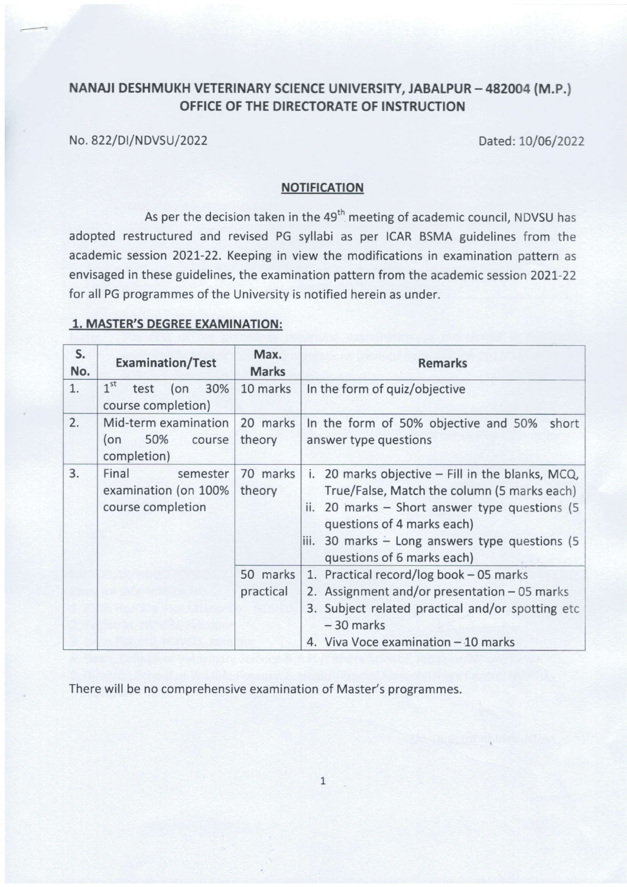## NANAJI DESHMUKH VETERINARY SCIENCE UNIVERSITY, JABALPUR - 482004 (M.P.) OFFICE OF THE DIRECTORATE OF INSTRUCTION

No. 822/DI/NDVSU/2022 Dated: 10/06/2022

## NOTIFICATION

As per the decision taken in the 49<sup>th</sup> meeting of academic council, NDVSU has adopted restructured and revised PG syllabi as per ICAR BSMA guidelines from the academic session 2021-22. Keeping in view the modifications in examination pattern as envisaged in these guidelines, the examination pattern from the academic session 2021-22 for all PG programmes of the University is notified herein as under.

## 1. MASTER'S DEGREE EXAMINATION:

| S.<br>No. | <b>Examination/Test</b>                                        | Max.<br><b>Marks</b>  | <b>Remarks</b>                                                                                                                                                                                                                                                     |
|-----------|----------------------------------------------------------------|-----------------------|--------------------------------------------------------------------------------------------------------------------------------------------------------------------------------------------------------------------------------------------------------------------|
| 1.        | 1 <sup>st</sup><br>30%<br>test<br>$($ on<br>course completion) | 10 marks              | In the form of quiz/objective                                                                                                                                                                                                                                      |
| 2.        | Mid-term examination<br>50%<br>(on<br>course<br>completion)    | 20 marks<br>theory    | In the form of 50% objective and 50%<br>short<br>answer type questions                                                                                                                                                                                             |
| 3.        | Final<br>semester<br>examination (on 100%<br>course completion | 70 marks<br>theory    | i. 20 marks objective - Fill in the blanks, MCQ,<br>True/False, Match the column (5 marks each)<br>ii. 20 marks $-$ Short answer type questions (5)<br>questions of 4 marks each)<br>iii. 30 marks - Long answers type questions (5)<br>questions of 6 marks each) |
|           |                                                                | 50 marks<br>practical | 1. Practical record/log book - 05 marks<br>2. Assignment and/or presentation - 05 marks<br>3. Subject related practical and/or spotting etc<br>$-30$ marks<br>4. Viva Voce examination - 10 marks                                                                  |

There will be no comprehensive examination of Master's programmes.